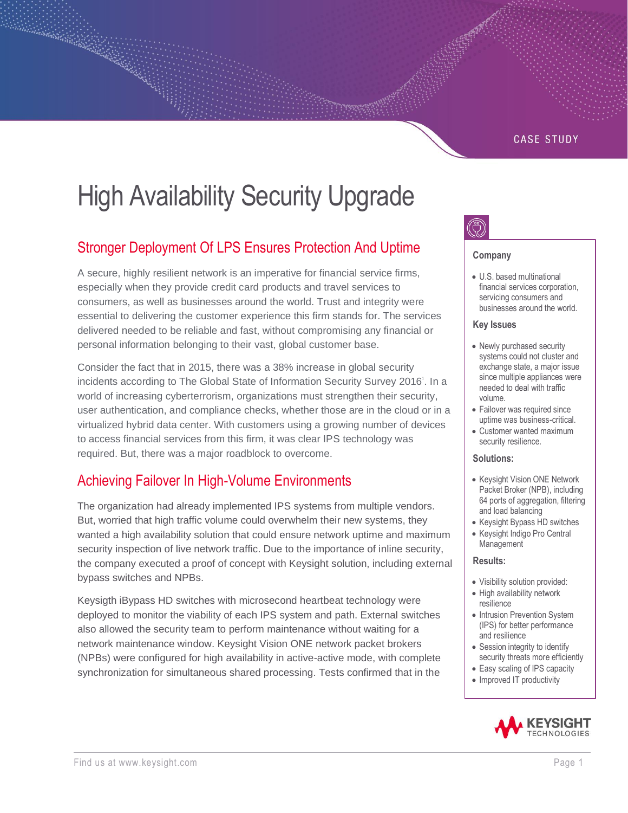### **CASE STUDY**

# High Availability Security Upgrade

## Stronger Deployment Of LPS Ensures Protection And Uptime

A secure, highly resilient network is an imperative for financial service firms, especially when they provide credit card products and travel services to consumers, as well as businesses around the world. Trust and integrity were essential to delivering the customer experience this firm stands for. The services delivered needed to be reliable and fast, without compromising any financial or personal information belonging to their vast, global customer base.

Consider the fact that in 2015, there was a 38% increase in global security incidents according to The Global State of Information Security Survey 2016'. In a world of increasing cyberterrorism, organizations must strengthen their security, user authentication, and compliance checks, whether those are in the cloud or in a virtualized hybrid data center. With customers using a growing number of devices to access financial services from this firm, it was clear IPS technology was required. But, there was a major roadblock to overcome.

## Achieving Failover In High-Volume Environments

The organization had already implemented IPS systems from multiple vendors. But, worried that high traffic volume could overwhelm their new systems, they wanted a high availability solution that could ensure network uptime and maximum security inspection of live network traffic. Due to the importance of inline security, the company executed a proof of concept with Keysight solution, including external bypass switches and NPBs.

Keysigth iBypass HD switches with microsecond heartbeat technology were deployed to monitor the viability of each IPS system and path. External switches also allowed the security team to perform maintenance without waiting for a network maintenance window. Keysight Vision ONE network packet brokers (NPBs) were configured for high availability in active-active mode, with complete synchronization for simultaneous shared processing. Tests confirmed that in the



#### **Company**

• U.S. based multinational financial services corporation, servicing consumers and businesses around the world.

#### **Key Issues**

- Newly purchased security systems could not cluster and exchange state, a major issue since multiple appliances were needed to deal with traffic volume.
- Failover was required since uptime was business-critical.
- Customer wanted maximum security resilience.

#### **Solutions:**

- Keysight Vision ONE Network Packet Broker (NPB), including 64 ports of aggregation, filtering and load balancing
- Keysight Bypass HD switches • Keysight Indigo Pro Central
- Management

#### **Results:**

- Visibility solution provided:
- High availability network resilience
- Intrusion Prevention System (IPS) for better performance and resilience
- Session integrity to identify security threats more efficiently
- Easy scaling of IPS capacity
- Improved IT productivity

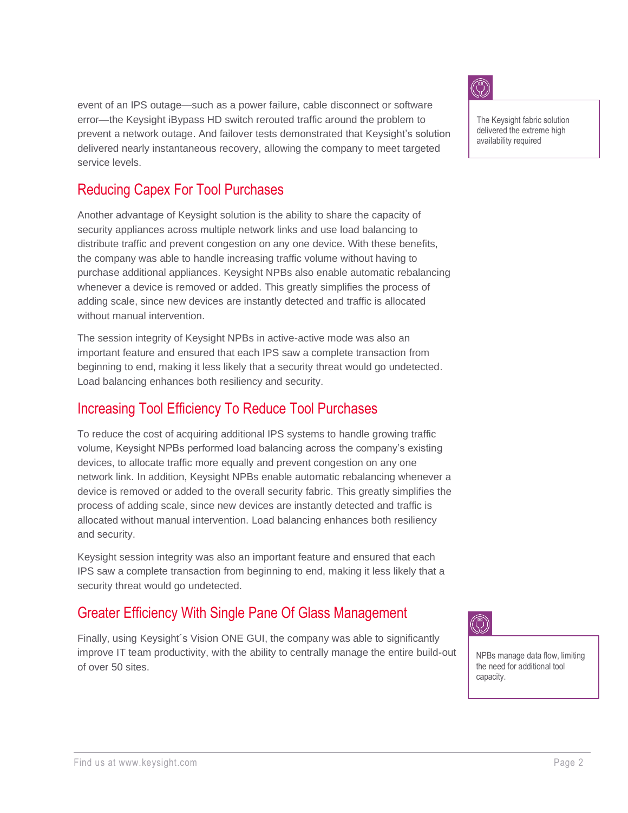event of an IPS outage—such as a power failure, cable disconnect or software error—the Keysight iBypass HD switch rerouted traffic around the problem to prevent a network outage. And failover tests demonstrated that Keysight's solution delivered nearly instantaneous recovery, allowing the company to meet targeted service levels.

## Reducing Capex For Tool Purchases

Another advantage of Keysight solution is the ability to share the capacity of security appliances across multiple network links and use load balancing to distribute traffic and prevent congestion on any one device. With these benefits, the company was able to handle increasing traffic volume without having to purchase additional appliances. Keysight NPBs also enable automatic rebalancing whenever a device is removed or added. This greatly simplifies the process of adding scale, since new devices are instantly detected and traffic is allocated without manual intervention.

The session integrity of Keysight NPBs in active-active mode was also an important feature and ensured that each IPS saw a complete transaction from beginning to end, making it less likely that a security threat would go undetected. Load balancing enhances both resiliency and security.

## Increasing Tool Efficiency To Reduce Tool Purchases

To reduce the cost of acquiring additional IPS systems to handle growing traffic volume, Keysight NPBs performed load balancing across the company's existing devices, to allocate traffic more equally and prevent congestion on any one network link. In addition, Keysight NPBs enable automatic rebalancing whenever a device is removed or added to the overall security fabric. This greatly simplifies the process of adding scale, since new devices are instantly detected and traffic is allocated without manual intervention. Load balancing enhances both resiliency and security.

Keysight session integrity was also an important feature and ensured that each IPS saw a complete transaction from beginning to end, making it less likely that a security threat would go undetected.

## Greater Efficiency With Single Pane Of Glass Management

Finally, using Keysight´s Vision ONE GUI, the company was able to significantly improve IT team productivity, with the ability to centrally manage the entire build-out of over 50 sites.



The Keysight fabric solution delivered the extreme high availability required



NPBs manage data flow, limiting the need for additional tool capacity.